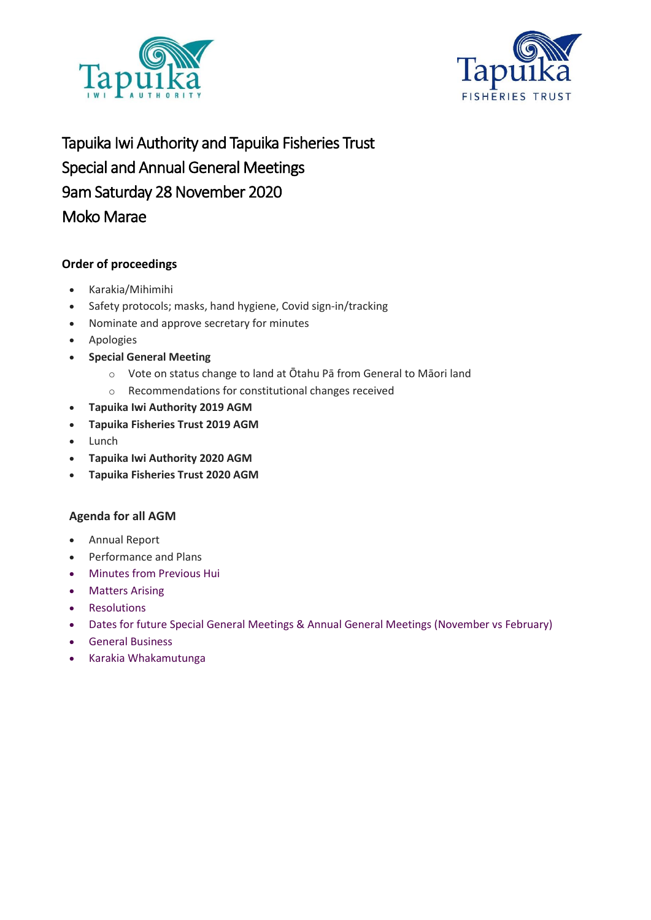



Tapuika Iwi Authority and Tapuika Fisheries Trust Special and Annual General Meetings 9am Saturday 28 November 2020 Moko Marae

### **Order of proceedings**

- Karakia/Mihimihi
- Safety protocols; masks, hand hygiene, Covid sign-in/tracking
- Nominate and approve secretary for minutes
- Apologies
- **Special General Meeting**
	- o Vote on status change to land at Ōtahu Pā from General to Māori land
	- o Recommendations for constitutional changes received
- **Tapuika Iwi Authority 2019 AGM**
- **Tapuika Fisheries Trust 2019 AGM**
- Lunch
- **Tapuika Iwi Authority 2020 AGM**
- **Tapuika Fisheries Trust 2020 AGM**

#### **Agenda for all AGM**

- Annual Report
- Performance and Plans
- Minutes from Previous Hui
- Matters Arising
- Resolutions
- Dates for future Special General Meetings & Annual General Meetings (November vs February)
- General Business
- Karakia Whakamutunga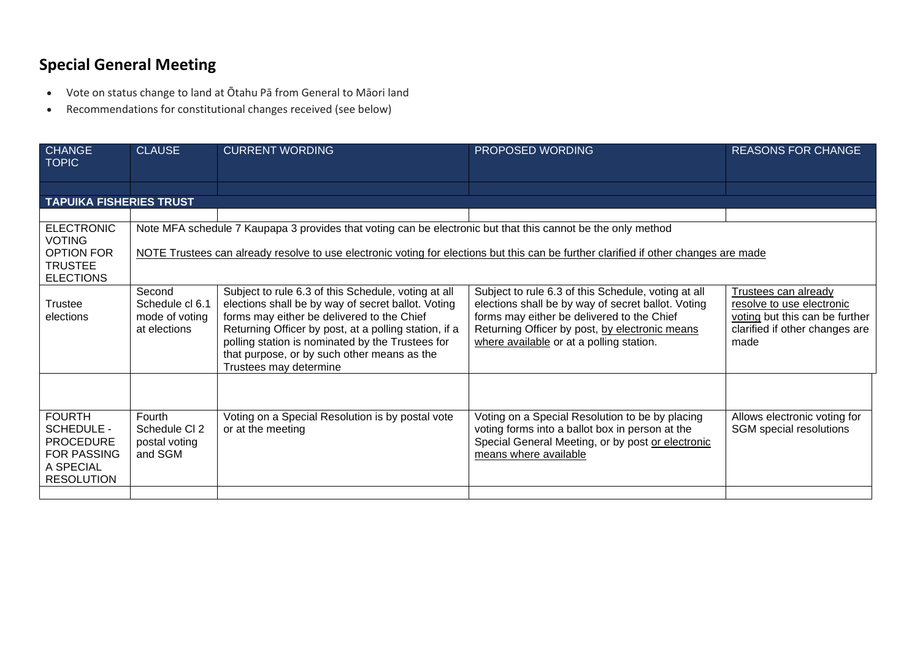### **Special General Meeting**

- Vote on status change to land at Ōtahu Pā from General to Māori land
- Recommendations for constitutional changes received (see below)

| <b>CHANGE</b><br><b>TOPIC</b>                                                                                  | <b>CLAUSE</b>                                                                                                | <b>CURRENT WORDING</b>                                                                                                                                                                                                                                                                                                                        | PROPOSED WORDING                                                                                                                                                                                                                                      | <b>REASONS FOR CHANGE</b>                                                                                                     |  |  |  |
|----------------------------------------------------------------------------------------------------------------|--------------------------------------------------------------------------------------------------------------|-----------------------------------------------------------------------------------------------------------------------------------------------------------------------------------------------------------------------------------------------------------------------------------------------------------------------------------------------|-------------------------------------------------------------------------------------------------------------------------------------------------------------------------------------------------------------------------------------------------------|-------------------------------------------------------------------------------------------------------------------------------|--|--|--|
|                                                                                                                |                                                                                                              |                                                                                                                                                                                                                                                                                                                                               |                                                                                                                                                                                                                                                       |                                                                                                                               |  |  |  |
|                                                                                                                |                                                                                                              |                                                                                                                                                                                                                                                                                                                                               |                                                                                                                                                                                                                                                       |                                                                                                                               |  |  |  |
| <b>TAPUIKA FISHERIES TRUST</b>                                                                                 |                                                                                                              |                                                                                                                                                                                                                                                                                                                                               |                                                                                                                                                                                                                                                       |                                                                                                                               |  |  |  |
|                                                                                                                |                                                                                                              |                                                                                                                                                                                                                                                                                                                                               |                                                                                                                                                                                                                                                       |                                                                                                                               |  |  |  |
| <b>ELECTRONIC</b><br><b>VOTING</b>                                                                             | Note MFA schedule 7 Kaupapa 3 provides that voting can be electronic but that this cannot be the only method |                                                                                                                                                                                                                                                                                                                                               |                                                                                                                                                                                                                                                       |                                                                                                                               |  |  |  |
| <b>OPTION FOR</b>                                                                                              |                                                                                                              | NOTE Trustees can already resolve to use electronic voting for elections but this can be further clarified if other changes are made                                                                                                                                                                                                          |                                                                                                                                                                                                                                                       |                                                                                                                               |  |  |  |
| <b>TRUSTEE</b>                                                                                                 |                                                                                                              |                                                                                                                                                                                                                                                                                                                                               |                                                                                                                                                                                                                                                       |                                                                                                                               |  |  |  |
| <b>ELECTIONS</b>                                                                                               |                                                                                                              |                                                                                                                                                                                                                                                                                                                                               |                                                                                                                                                                                                                                                       |                                                                                                                               |  |  |  |
| <b>Trustee</b><br>elections                                                                                    | Second<br>Schedule cl 6.1<br>mode of voting<br>at elections                                                  | Subject to rule 6.3 of this Schedule, voting at all<br>elections shall be by way of secret ballot. Voting<br>forms may either be delivered to the Chief<br>Returning Officer by post, at a polling station, if a<br>polling station is nominated by the Trustees for<br>that purpose, or by such other means as the<br>Trustees may determine | Subject to rule 6.3 of this Schedule, voting at all<br>elections shall be by way of secret ballot. Voting<br>forms may either be delivered to the Chief<br>Returning Officer by post, by electronic means<br>where available or at a polling station. | Trustees can already<br>resolve to use electronic<br>voting but this can be further<br>clarified if other changes are<br>made |  |  |  |
| <b>FOURTH</b><br><b>SCHEDULE -</b><br><b>PROCEDURE</b><br><b>FOR PASSING</b><br>A SPECIAL<br><b>RESOLUTION</b> | Fourth<br>Schedule CI 2<br>postal voting<br>and SGM                                                          | Voting on a Special Resolution is by postal vote<br>or at the meeting                                                                                                                                                                                                                                                                         | Voting on a Special Resolution to be by placing<br>voting forms into a ballot box in person at the<br>Special General Meeting, or by post or electronic<br>means where available                                                                      | Allows electronic voting for<br>SGM special resolutions                                                                       |  |  |  |
|                                                                                                                |                                                                                                              |                                                                                                                                                                                                                                                                                                                                               |                                                                                                                                                                                                                                                       |                                                                                                                               |  |  |  |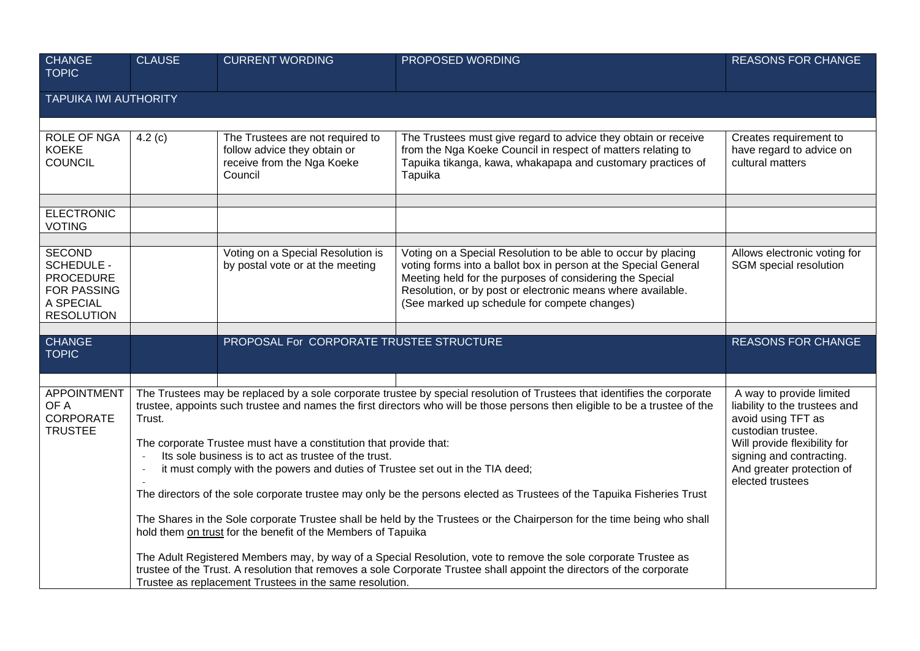| Creates requirement to<br>have regard to advice on<br>cultural matters                                                                                                                                                                                                                                                                                                                                                                                                                                      |
|-------------------------------------------------------------------------------------------------------------------------------------------------------------------------------------------------------------------------------------------------------------------------------------------------------------------------------------------------------------------------------------------------------------------------------------------------------------------------------------------------------------|
|                                                                                                                                                                                                                                                                                                                                                                                                                                                                                                             |
|                                                                                                                                                                                                                                                                                                                                                                                                                                                                                                             |
|                                                                                                                                                                                                                                                                                                                                                                                                                                                                                                             |
|                                                                                                                                                                                                                                                                                                                                                                                                                                                                                                             |
|                                                                                                                                                                                                                                                                                                                                                                                                                                                                                                             |
| Allows electronic voting for<br>SGM special resolution                                                                                                                                                                                                                                                                                                                                                                                                                                                      |
| <b>REASONS FOR CHANGE</b>                                                                                                                                                                                                                                                                                                                                                                                                                                                                                   |
|                                                                                                                                                                                                                                                                                                                                                                                                                                                                                                             |
| A way to provide limited<br>liability to the trustees and<br>avoid using TFT as<br>custodian trustee.<br>Will provide flexibility for<br>signing and contracting.<br>And greater protection of<br>elected trustees                                                                                                                                                                                                                                                                                          |
| The Trustees may be replaced by a sole corporate trustee by special resolution of Trustees that identifies the corporate<br>trustee, appoints such trustee and names the first directors who will be those persons then eligible to be a trustee of the<br>The directors of the sole corporate trustee may only be the persons elected as Trustees of the Tapuika Fisheries Trust<br>The Shares in the Sole corporate Trustee shall be held by the Trustees or the Chairperson for the time being who shall |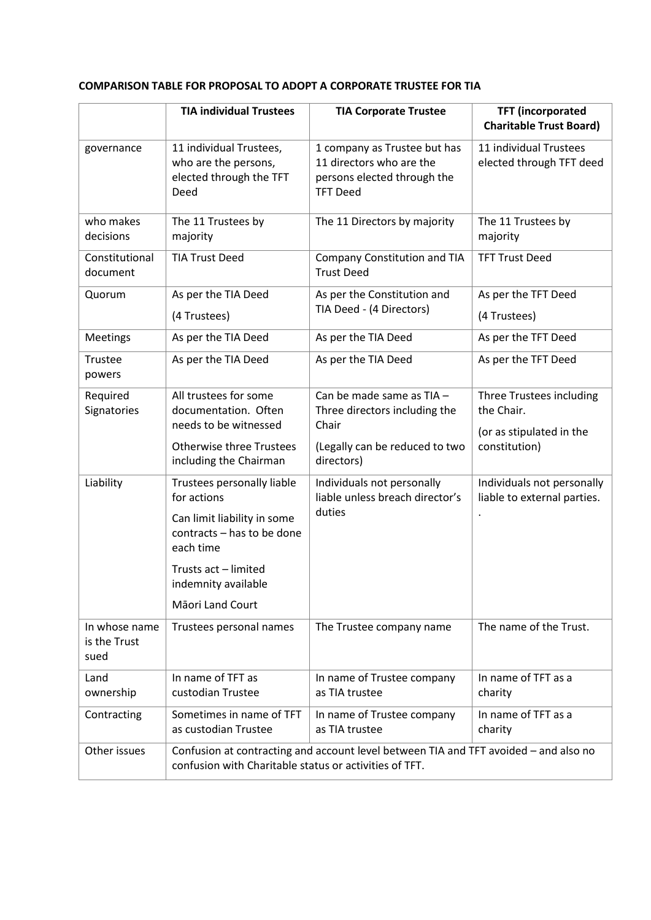#### **COMPARISON TABLE FOR PROPOSAL TO ADOPT A CORPORATE TRUSTEE FOR TIA**

|                                       | <b>TIA individual Trustees</b>                                                                                                                 | <b>TIA Corporate Trustee</b>                                                                               | <b>TFT</b> (incorporated<br><b>Charitable Trust Board)</b>         |  |
|---------------------------------------|------------------------------------------------------------------------------------------------------------------------------------------------|------------------------------------------------------------------------------------------------------------|--------------------------------------------------------------------|--|
| governance                            | 11 individual Trustees,<br>who are the persons,<br>elected through the TFT<br>Deed                                                             | 1 company as Trustee but has<br>11 directors who are the<br>persons elected through the<br><b>TFT Deed</b> | 11 individual Trustees<br>elected through TFT deed                 |  |
| who makes<br>decisions                | The 11 Trustees by<br>majority                                                                                                                 | The 11 Directors by majority                                                                               | The 11 Trustees by<br>majority                                     |  |
| Constitutional<br>document            | <b>TIA Trust Deed</b>                                                                                                                          | Company Constitution and TIA<br><b>Trust Deed</b>                                                          | <b>TFT Trust Deed</b>                                              |  |
| Quorum                                | As per the TIA Deed                                                                                                                            | As per the Constitution and                                                                                | As per the TFT Deed                                                |  |
|                                       | (4 Trustees)                                                                                                                                   | TIA Deed - (4 Directors)                                                                                   | (4 Trustees)                                                       |  |
| <b>Meetings</b>                       | As per the TIA Deed                                                                                                                            | As per the TIA Deed                                                                                        | As per the TFT Deed                                                |  |
| Trustee<br>powers                     | As per the TIA Deed                                                                                                                            | As per the TIA Deed                                                                                        | As per the TFT Deed                                                |  |
| Required<br>Signatories               | All trustees for some<br>documentation. Often<br>needs to be witnessed                                                                         | Can be made same as TIA -<br>Three directors including the<br>Chair                                        | Three Trustees including<br>the Chair.<br>(or as stipulated in the |  |
|                                       | <b>Otherwise three Trustees</b><br>including the Chairman                                                                                      | (Legally can be reduced to two<br>directors)                                                               | constitution)                                                      |  |
| Liability                             | Trustees personally liable<br>for actions                                                                                                      | Individuals not personally<br>liable unless breach director's                                              | Individuals not personally<br>liable to external parties.          |  |
|                                       | Can limit liability in some<br>contracts - has to be done<br>each time                                                                         | duties                                                                                                     |                                                                    |  |
|                                       | Trusts act - limited<br>indemnity available                                                                                                    |                                                                                                            |                                                                    |  |
|                                       | Māori Land Court                                                                                                                               |                                                                                                            |                                                                    |  |
| In whose name<br>is the Trust<br>sued | Trustees personal names                                                                                                                        | The Trustee company name                                                                                   | The name of the Trust.                                             |  |
| Land<br>ownership                     | In name of TFT as<br>custodian Trustee                                                                                                         | In name of Trustee company<br>as TIA trustee                                                               | In name of TFT as a<br>charity                                     |  |
| Contracting                           | Sometimes in name of TFT<br>as custodian Trustee                                                                                               | In name of Trustee company<br>as TIA trustee                                                               | In name of TFT as a<br>charity                                     |  |
| Other issues                          | Confusion at contracting and account level between TIA and TFT avoided - and also no<br>confusion with Charitable status or activities of TFT. |                                                                                                            |                                                                    |  |